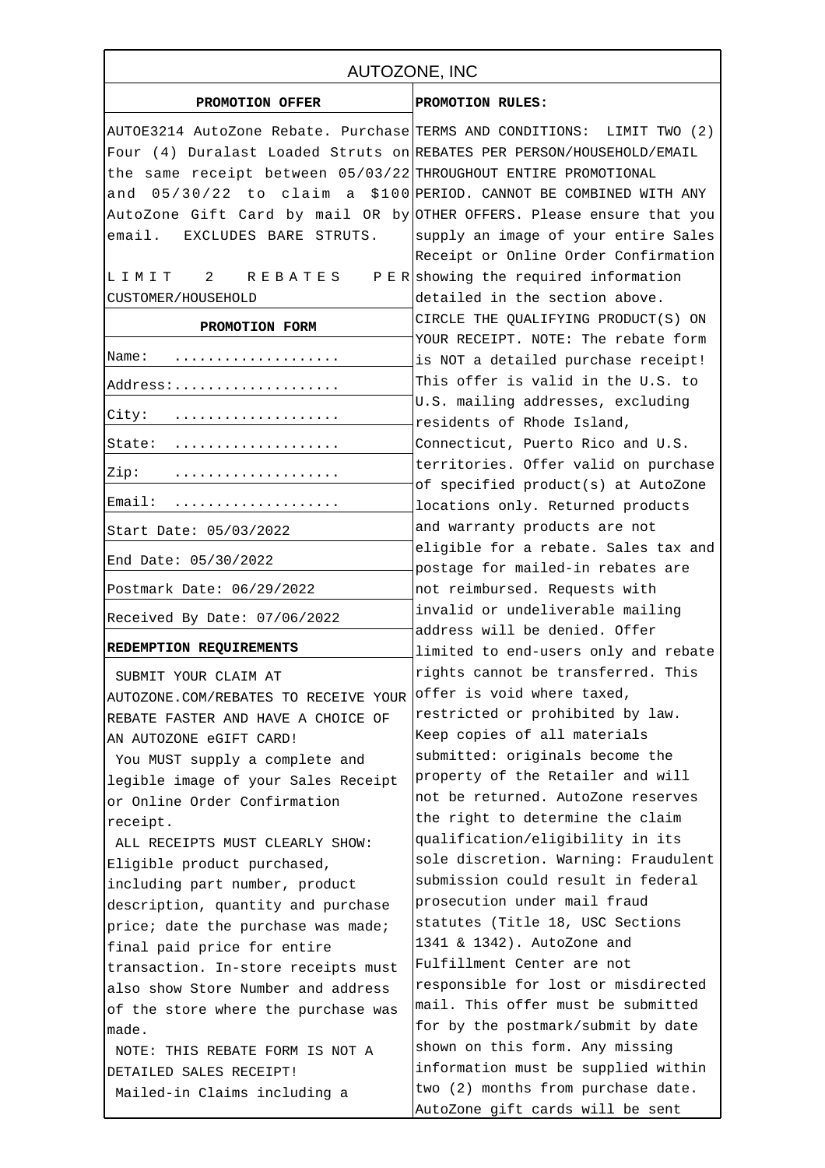| AUTOZONE, INC                                                           |                                                                           |
|-------------------------------------------------------------------------|---------------------------------------------------------------------------|
| PROMOTION OFFER                                                         | PROMOTION RULES:                                                          |
| AUTOE3214 AutoZone Rebate. Purchase TERMS AND CONDITIONS: LIMIT TWO (2) |                                                                           |
| Four (4) Duralast Loaded Struts on REBATES PER PERSON/HOUSEHOLD/EMAIL   |                                                                           |
| the same receipt between 05/03/22 THROUGHOUT ENTIRE PROMOTIONAL         |                                                                           |
| and $05/30/22$ to claim a \$100 PERIOD. CANNOT BE COMBINED WITH ANY     |                                                                           |
| AutoZone Gift Card by mail OR by OTHER OFFERS. Please ensure that you   |                                                                           |
| email. EXCLUDES BARE STRUTS.                                            | supply an image of your entire Sales                                      |
|                                                                         | Receipt or Online Order Confirmation                                      |
| LIMIT 2 REBATES                                                         | $P E R$ showing the required information                                  |
| CUSTOMER/HOUSEHOLD                                                      | detailed in the section above.                                            |
|                                                                         | CIRCLE THE QUALIFYING PRODUCT(S) ON                                       |
| PROMOTION FORM                                                          | YOUR RECEIPT. NOTE: The rebate form                                       |
| Name:                                                                   | is NOT a detailed purchase receipt!                                       |
| Address:                                                                | This offer is valid in the U.S. to                                        |
|                                                                         | U.S. mailing addresses, excluding                                         |
| City:                                                                   | residents of Rhode Island,                                                |
| State:                                                                  | Connecticut, Puerto Rico and U.S.                                         |
| Zip:                                                                    | territories. Offer valid on purchase                                      |
|                                                                         | of specified product(s) at AutoZone                                       |
| Email:                                                                  | locations only. Returned products                                         |
| Start Date: 05/03/2022                                                  | and warranty products are not                                             |
| End Date: 05/30/2022                                                    | eligible for a rebate. Sales tax and<br>postage for mailed-in rebates are |
| Postmark Date: 06/29/2022                                               | not reimbursed. Requests with                                             |
|                                                                         | invalid or undeliverable mailing                                          |
| Received By Date: 07/06/2022                                            | address will be denied. Offer                                             |
| REDEMPTION REQUIREMENTS                                                 | limited to end-users only and rebate                                      |
| SUBMIT YOUR CLAIM AT                                                    | rights cannot be transferred. This                                        |
| AUTOZONE.COM/REBATES TO RECEIVE YOUR                                    | offer is void where taxed,                                                |
| REBATE FASTER AND HAVE A CHOICE OF                                      | restricted or prohibited by law.                                          |
| AN AUTOZONE eGIFT CARD!                                                 | Keep copies of all materials                                              |
| You MUST supply a complete and                                          | submitted: originals become the                                           |
| legible image of your Sales Receipt                                     | property of the Retailer and will                                         |
| or Online Order Confirmation                                            | not be returned. AutoZone reserves                                        |
| receipt.                                                                | the right to determine the claim                                          |
| ALL RECEIPTS MUST CLEARLY SHOW:                                         | qualification/eligibility in its                                          |
| Eligible product purchased,                                             | sole discretion. Warning: Fraudulent                                      |
| including part number, product                                          | submission could result in federal                                        |
| description, quantity and purchase                                      | prosecution under mail fraud                                              |
| price; date the purchase was made;                                      | statutes (Title 18, USC Sections                                          |
| final paid price for entire                                             | 1341 & 1342). AutoZone and                                                |
| transaction. In-store receipts must                                     | Fulfillment Center are not                                                |
| also show Store Number and address                                      | responsible for lost or misdirected                                       |
| of the store where the purchase was                                     | mail. This offer must be submitted                                        |
| made.                                                                   | for by the postmark/submit by date                                        |
| NOTE: THIS REBATE FORM IS NOT A                                         | shown on this form. Any missing                                           |
| DETAILED SALES RECEIPT!                                                 | information must be supplied within                                       |
| Mailed-in Claims including a                                            | two (2) months from purchase date.                                        |
|                                                                         | AutoZone gift cards will be sent                                          |